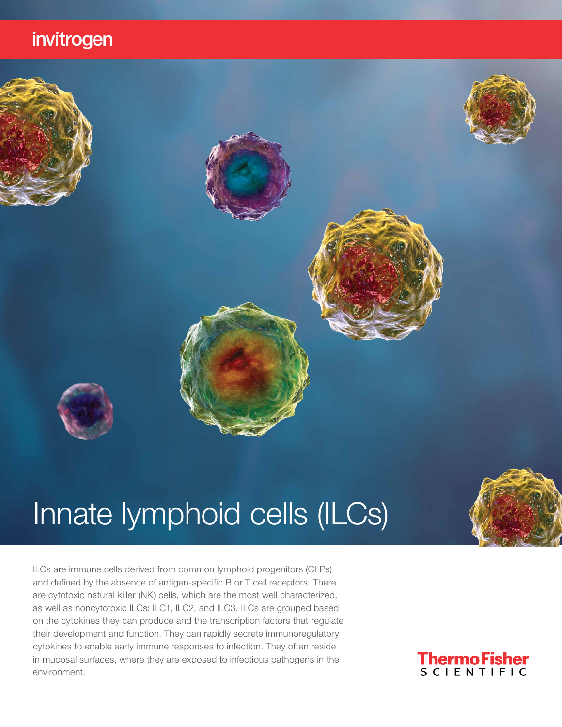### invitrogen

# Innate lymphoid cells (ILCs)

ILCs are immune cells derived from common lymphoid progenitors (CLPs) and defined by the absence of antigen-specific B or T cell receptors. There are cytotoxic natural killer (NK) cells, which are the most well characterized, as well as noncytotoxic ILCs: ILC1, ILC2, and ILC3. ILCs are grouped based on the cytokines they can produce and the transcription factors that regulate their development and function. They can rapidly secrete immunoregulatory cytokines to enable early immune responses to infection. They often reside in mucosal surfaces, where they are exposed to infectious pathogens in the environment.





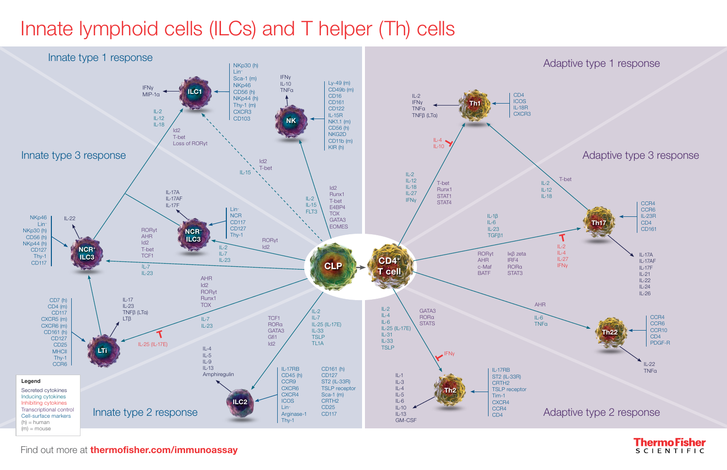## Innate lymphoid cells (ILCs) and T helper (Th) cells



Find out more at **[thermofisher.com/immunoassay](http://thermofisher.com/immunoassay)** 

**ThermoFisher SCIENTIFIC**